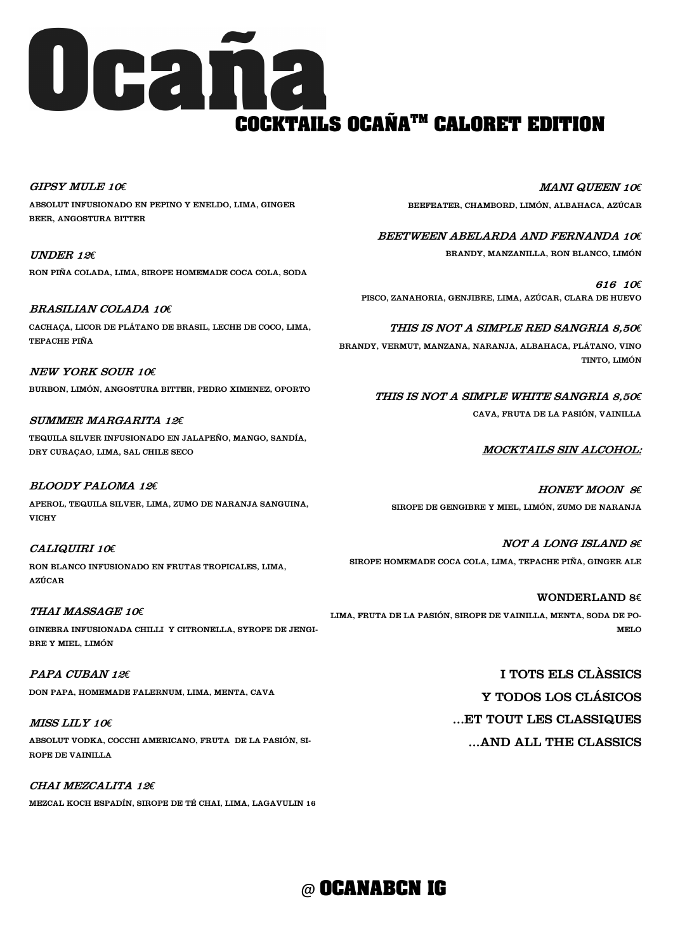GIPSY MULE 10*€* ABSOLUT INFUSIONADO EN PEPINO Y ENELDO, LIMA, GINGER BEER, ANGOSTURA BITTER

UNDER 12*€* RON PIÑA COLADA, LIMA, SIROPE HOMEMADE COCA COLA, SODA

## BRASILIAN COLADA 10*€*

CACHAÇA, LICOR DE PLÁTANO DE BRASIL, LECHE DE COCO, LIMA, TEPACHE PIÑA

NEW YORK SOUR 10*€* BURBON, LIMÓN, ANGOSTURA BITTER, PEDRO XIMENEZ, OPORTO

# SUMMER MARGARITA 12*€*

TEQUILA SILVER INFUSIONADO EN JALAPEÑO, MANGO, SANDÍA, DRY CURAÇAO, LIMA, SAL CHILE SECO

# BLOODY PALOMA 12*€*

# UGaña **COCKTAILS OCAÑATM CALORET EDITION**

APEROL, TEQUILA SILVER, LIMA, ZUMO DE NARANJA SANGUINA, VICHY

# CALIQUIRI 10*€*

RON BLANCO INFUSIONADO EN FRUTAS TROPICALES, LIMA, AZÚCAR

### THAI MASSAGE 10*€*

GINEBRA INFUSIONADA CHILLI Y CITRONELLA, SYROPE DE JENGI-BRE Y MIEL, LIMÓN

### PAPA CUBAN 12*€*

DON PAPA, HOMEMADE FALERNUM, LIMA, MENTA, CAVA

#### MISS LILY 10*€*

ABSOLUT VODKA, COCCHI AMERICANO, FRUTA DE LA PASIÓN, SI-ROPE DE VAINILLA

#### CHAI MEZCALITA 12*€*

MEZCAL KOCH ESPADÍN, SIROPE DE TÉ CHAI, LIMA, LAGAVULIN 16

MANI QUEEN 10*€*

BEEFEATER, CHAMBORD, LIMÓN, ALBAHACA, AZÚCAR

#### BEETWEEN ABELARDA AND FERNANDA 10*€*

BRANDY, MANZANILLA, RON BLANCO, LIMÓN

616 10*€* PISCO, ZANAHORIA, GENJIBRE, LIMA, AZÚCAR, CLARA DE HUEVO

## THIS IS NOT A SIMPLE RED SANGRIA 8,50*€*

BRANDY, VERMUT, MANZANA, NARANJA, ALBAHACA, PLÁTANO, VINO TINTO, LIMÓN

> THIS IS NOT A SIMPLE WHITE SANGRIA 8,50*€* CAVA, FRUTA DE LA PASIÓN, VAINILLA

### MOCKTAILS SIN ALCOHOL:

HONEY MOON 8*€* SIROPE DE GENGIBRE Y MIEL, LIMÓN, ZUMO DE NARANJA

NOT A LONG ISLAND 8*€* SIROPE HOMEMADE COCA COLA, LIMA, TEPACHE PIÑA, GINGER ALE

WONDERLAND 8€ LIMA, FRUTA DE LA PASIÓN, SIROPE DE VAINILLA, MENTA, SODA DE PO-MELO

> I TOTS ELS CLÀSSICS Y TODOS LOS CLÁSICOS

...ET TOUT LES CLASSIQUES

## ...AND ALL THE CLASSICS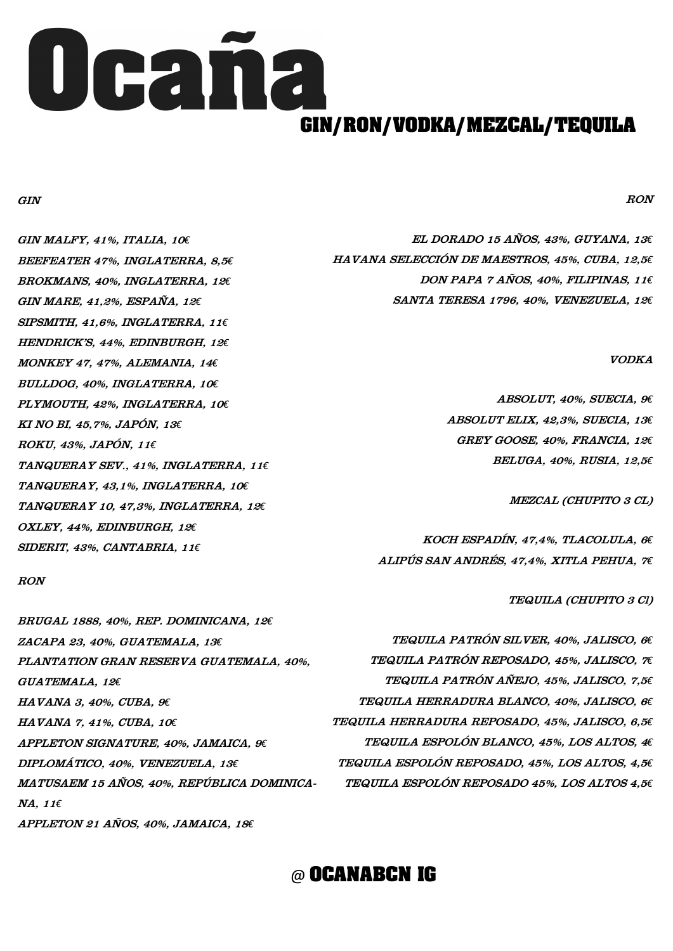#### GIN

GIN MALFY, 41%, ITALIA, 10*€* BEEFEATER 47%, INGLATERRA, 8,5*€* BROKMANS, 40%, INGLATERRA, 12*€* GIN MARE, 41,2%, ESPAÑA, 12*€* SIPSMITH, 41,6%, INGLATERRA, 11*€* HENDRICK'S, 44%, EDINBURGH, 12*€* MONKEY 47, 47%, ALEMANIA, 14*€* BULLDOG, 40%, INGLATERRA, 10*€* PLYMOUTH, 42%, INGLATERRA, 10*€* KI NO BI, 45,7%, JAPÓN, 13*€* ROKU, 43%, JAPÓN, 11*€* TANQUERAY SEV., 41%, INGLATERRA, 11*€* TANQUERAY, 43,1%, INGLATERRA, 10*€* TANQUERAY 10, 47,3%, INGLATERRA, 12*€* OXLEY, 44%, EDINBURGH, 12*€* SIDERIT, 43%, CANTABRIA, 11*€*

#### RON

BRUGAL 1888, 40%, REP. DOMINICANA, 12*€* ZACAPA 23, 40%, GUATEMALA, 13*€* PLANTATION GRAN RESERVA GUATEMALA, 40%, GUATEMALA, 12*€* HAVANA 3, 40%, CUBA, 9*€*

HAVANA 7, 41%, CUBA, 10*€*

APPLETON SIGNATURE, 40%, JAMAICA, 9*€* DIPLOMÁTICO, 40%, VENEZUELA, 13*€* MATUSAEM 15 AÑOS, 40%, REPÚBLICA DOMINICA-NA, 11*€*

APPLETON 21 AÑOS, 40%, JAMAICA, 18*€*



RON

EL DORADO 15 AÑOS, 43%, GUYANA, 13*€* HAVANA SELECCIÓN DE MAESTROS, 45%, CUBA, 12,5*€* DON PAPA 7 AÑOS, 40%, FILIPINAS, 11*€* SANTA TERESA 1796, 40%, VENEZUELA, 12*€*

VODKA

ABSOLUT, 40%, SUECIA, 9*€* ABSOLUT ELIX, 42,3%, SUECIA, 13*€* GREY GOOSE, 40%, FRANCIA, 12*€* BELUGA, 40%, RUSIA, 12,5*€*

MEZCAL (CHUPITO 3 CL)

KOCH ESPADÍN, 47,4%, TLACOLULA, 6*€* ALIPÚS SAN ANDRÉS, 47,4%, XITLA PEHUA, 7*€*

TEQUILA (CHUPITO 3 Cl)

TEQUILA PATRÓN SILVER, 40%, JALISCO, 6*€* TEQUILA PATRÓN REPOSADO, 45%, JALISCO, 7*€* TEQUILA PATRÓN AÑEJO, 45%, JALISCO, 7,5*€* TEQUILA HERRADURA BLANCO, 40%, JALISCO, 6*€*

TEQUILA HERRADURA REPOSADO, 45%, JALISCO, 6,5*€*

TEQUILA ESPOLÓN BLANCO, 45%, LOS ALTOS, 4*€*

TEQUILA ESPOLÓN REPOSADO, 45%, LOS ALTOS, 4,5*€*

TEQUILA ESPOLÓN REPOSADO 45%, LOS ALTOS 4,5*€*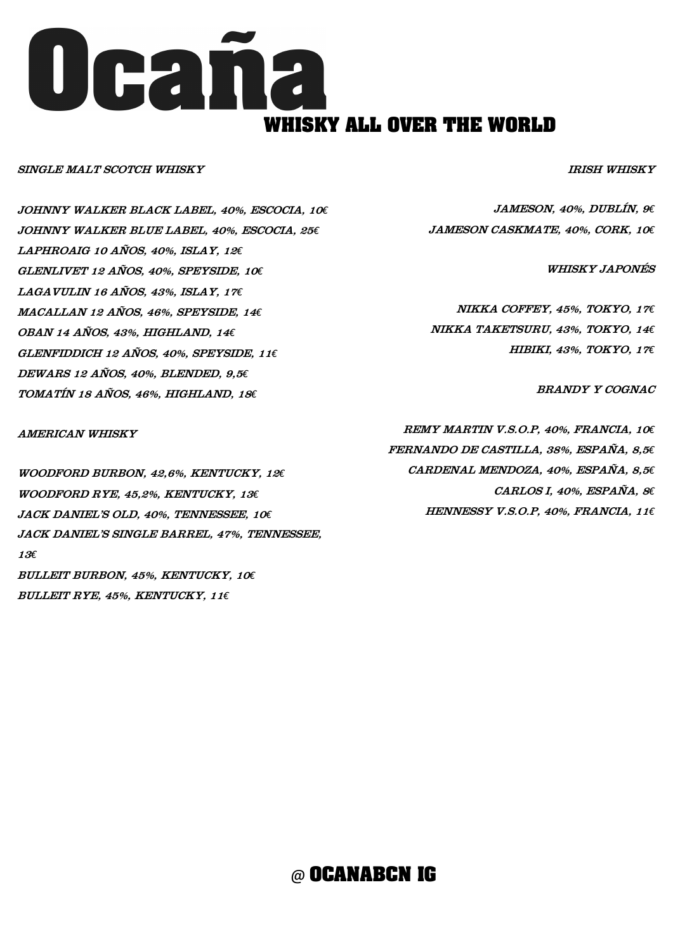#### SINGLE MALT SCOTCH WHISKY

JOHNNY WALKER BLACK LABEL, 40%, ESCOCIA, 10*€* JOHNNY WALKER BLUE LABEL, 40%, ESCOCIA, 25*€* LAPHROAIG 10 AÑOS, 40%, ISLAY, 12*€* GLENLIVET 12 AÑOS, 40%, SPEYSIDE, 10*€* LAGAVULIN 16 AÑOS, 43%, ISLAY, 17*€* MACALLAN 12 AÑOS, 46%, SPEYSIDE, 14*€* OBAN 14 AÑOS, 43%, HIGHLAND, 14*€* GLENFIDDICH 12 AÑOS, 40%, SPEYSIDE, 11*€* DEWARS 12 AÑOS, 40%, BLENDED, 9,5*€* TOMATÍN 18 AÑOS, 46%, HIGHLAND, 18*€*

AMERICAN WHISKY

WOODFORD BURBON, 42,6%, KENTUCKY, 12*€* WOODFORD RYE, 45,2%, KENTUCKY, 13*€* JACK DANIEL'S OLD, 40%, TENNESSEE, 10*€* JACK DANIEL'S SINGLE BARREL, 47%, TENNESSEE, <sup>13</sup>*€* BULLEIT BURBON, 45%, KENTUCKY, 10*€*

BULLEIT RYE, 45%, KENTUCKY, 11*€*



IRISH WHISKY

JAMESON, 40%, DUBLÍN, 9*€* JAMESON CASKMATE, 40%, CORK, 10*€*

WHISKY JAPONÉS

NIKKA COFFEY, 45%, TOKYO, 17*€* NIKKA TAKETSURU, 43%, TOKYO, 14*€* HIBIKI, 43%, TOKYO, 17*€*

BRANDY Y COGNAC

REMY MARTIN V.S.O.P, 40%, FRANCIA, 10*€* FERNANDO DE CASTILLA, 38%, ESPAÑA, 8,5*€* CARDENAL MENDOZA, 40%, ESPAÑA, 8,5*€* CARLOS I, 40%, ESPAÑA, 8*€* HENNESSY V.S.O.P, 40%, FRANCIA, 11*€*